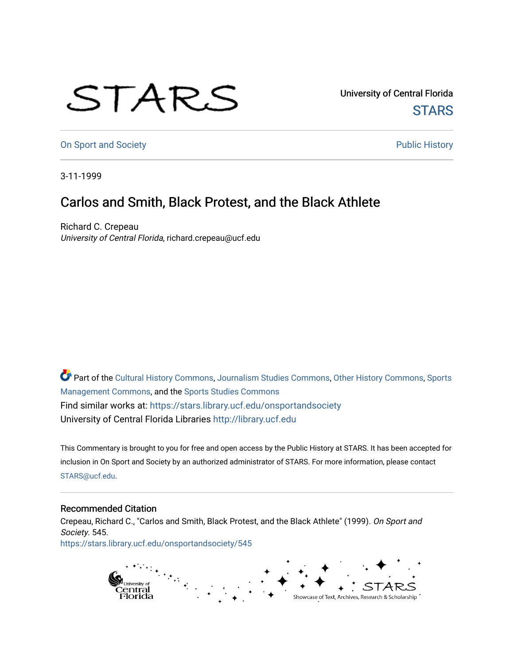## STARS

University of Central Florida **STARS** 

[On Sport and Society](https://stars.library.ucf.edu/onsportandsociety) **Public History** Public History

3-11-1999

## Carlos and Smith, Black Protest, and the Black Athlete

Richard C. Crepeau University of Central Florida, richard.crepeau@ucf.edu

Part of the [Cultural History Commons](http://network.bepress.com/hgg/discipline/496?utm_source=stars.library.ucf.edu%2Fonsportandsociety%2F545&utm_medium=PDF&utm_campaign=PDFCoverPages), [Journalism Studies Commons,](http://network.bepress.com/hgg/discipline/333?utm_source=stars.library.ucf.edu%2Fonsportandsociety%2F545&utm_medium=PDF&utm_campaign=PDFCoverPages) [Other History Commons,](http://network.bepress.com/hgg/discipline/508?utm_source=stars.library.ucf.edu%2Fonsportandsociety%2F545&utm_medium=PDF&utm_campaign=PDFCoverPages) [Sports](http://network.bepress.com/hgg/discipline/1193?utm_source=stars.library.ucf.edu%2Fonsportandsociety%2F545&utm_medium=PDF&utm_campaign=PDFCoverPages) [Management Commons](http://network.bepress.com/hgg/discipline/1193?utm_source=stars.library.ucf.edu%2Fonsportandsociety%2F545&utm_medium=PDF&utm_campaign=PDFCoverPages), and the [Sports Studies Commons](http://network.bepress.com/hgg/discipline/1198?utm_source=stars.library.ucf.edu%2Fonsportandsociety%2F545&utm_medium=PDF&utm_campaign=PDFCoverPages) Find similar works at: <https://stars.library.ucf.edu/onsportandsociety> University of Central Florida Libraries [http://library.ucf.edu](http://library.ucf.edu/) 

This Commentary is brought to you for free and open access by the Public History at STARS. It has been accepted for inclusion in On Sport and Society by an authorized administrator of STARS. For more information, please contact [STARS@ucf.edu](mailto:STARS@ucf.edu).

## Recommended Citation

Crepeau, Richard C., "Carlos and Smith, Black Protest, and the Black Athlete" (1999). On Sport and Society. 545. [https://stars.library.ucf.edu/onsportandsociety/545](https://stars.library.ucf.edu/onsportandsociety/545?utm_source=stars.library.ucf.edu%2Fonsportandsociety%2F545&utm_medium=PDF&utm_campaign=PDFCoverPages)

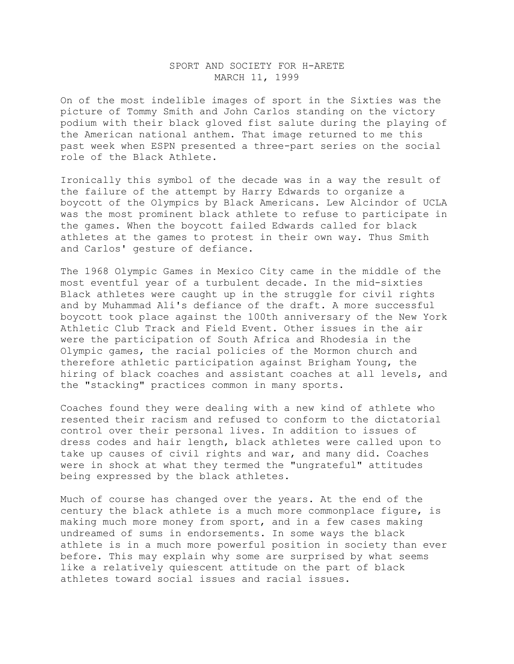## SPORT AND SOCIETY FOR H-ARETE MARCH 11, 1999

On of the most indelible images of sport in the Sixties was the picture of Tommy Smith and John Carlos standing on the victory podium with their black gloved fist salute during the playing of the American national anthem. That image returned to me this past week when ESPN presented a three-part series on the social role of the Black Athlete.

Ironically this symbol of the decade was in a way the result of the failure of the attempt by Harry Edwards to organize a boycott of the Olympics by Black Americans. Lew Alcindor of UCLA was the most prominent black athlete to refuse to participate in the games. When the boycott failed Edwards called for black athletes at the games to protest in their own way. Thus Smith and Carlos' gesture of defiance.

The 1968 Olympic Games in Mexico City came in the middle of the most eventful year of a turbulent decade. In the mid-sixties Black athletes were caught up in the struggle for civil rights and by Muhammad Ali's defiance of the draft. A more successful boycott took place against the 100th anniversary of the New York Athletic Club Track and Field Event. Other issues in the air were the participation of South Africa and Rhodesia in the Olympic games, the racial policies of the Mormon church and therefore athletic participation against Brigham Young, the hiring of black coaches and assistant coaches at all levels, and the "stacking" practices common in many sports.

Coaches found they were dealing with a new kind of athlete who resented their racism and refused to conform to the dictatorial control over their personal lives. In addition to issues of dress codes and hair length, black athletes were called upon to take up causes of civil rights and war, and many did. Coaches were in shock at what they termed the "ungrateful" attitudes being expressed by the black athletes.

Much of course has changed over the years. At the end of the century the black athlete is a much more commonplace figure, is making much more money from sport, and in a few cases making undreamed of sums in endorsements. In some ways the black athlete is in a much more powerful position in society than ever before. This may explain why some are surprised by what seems like a relatively quiescent attitude on the part of black athletes toward social issues and racial issues.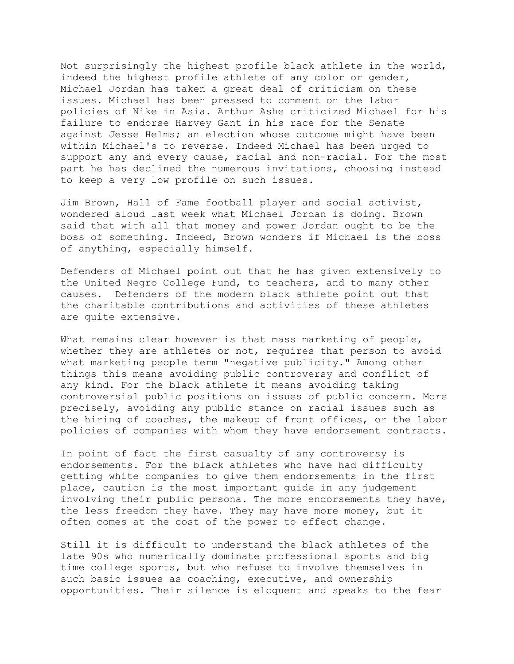Not surprisingly the highest profile black athlete in the world, indeed the highest profile athlete of any color or gender, Michael Jordan has taken a great deal of criticism on these issues. Michael has been pressed to comment on the labor policies of Nike in Asia. Arthur Ashe criticized Michael for his failure to endorse Harvey Gant in his race for the Senate against Jesse Helms; an election whose outcome might have been within Michael's to reverse. Indeed Michael has been urged to support any and every cause, racial and non-racial. For the most part he has declined the numerous invitations, choosing instead to keep a very low profile on such issues.

Jim Brown, Hall of Fame football player and social activist, wondered aloud last week what Michael Jordan is doing. Brown said that with all that money and power Jordan ought to be the boss of something. Indeed, Brown wonders if Michael is the boss of anything, especially himself.

Defenders of Michael point out that he has given extensively to the United Negro College Fund, to teachers, and to many other causes. Defenders of the modern black athlete point out that the charitable contributions and activities of these athletes are quite extensive.

What remains clear however is that mass marketing of people, whether they are athletes or not, requires that person to avoid what marketing people term "negative publicity." Among other things this means avoiding public controversy and conflict of any kind. For the black athlete it means avoiding taking controversial public positions on issues of public concern. More precisely, avoiding any public stance on racial issues such as the hiring of coaches, the makeup of front offices, or the labor policies of companies with whom they have endorsement contracts.

In point of fact the first casualty of any controversy is endorsements. For the black athletes who have had difficulty getting white companies to give them endorsements in the first place, caution is the most important guide in any judgement involving their public persona. The more endorsements they have, the less freedom they have. They may have more money, but it often comes at the cost of the power to effect change.

Still it is difficult to understand the black athletes of the late 90s who numerically dominate professional sports and big time college sports, but who refuse to involve themselves in such basic issues as coaching, executive, and ownership opportunities. Their silence is eloquent and speaks to the fear